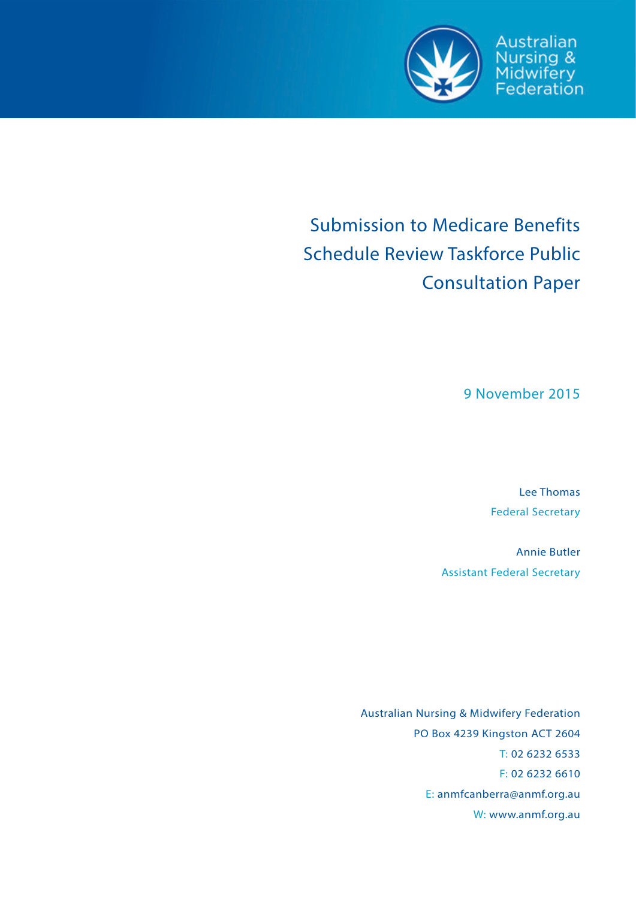

Australian Nursing &<br>Midwifery<br>Federation

# Submission to Medicare Benefits Schedule Review Taskforce Public Consultation Paper

9 November 2015

Lee Thomas Federal Secretary

Annie Butler Assistant Federal Secretary

Australian Nursing & Midwifery Federation PO Box 4239 Kingston ACT 2604 T: 02 6232 6533 F: 02 6232 6610 E: anmfcanberra@anmf.org.au W: www.anmf.org.au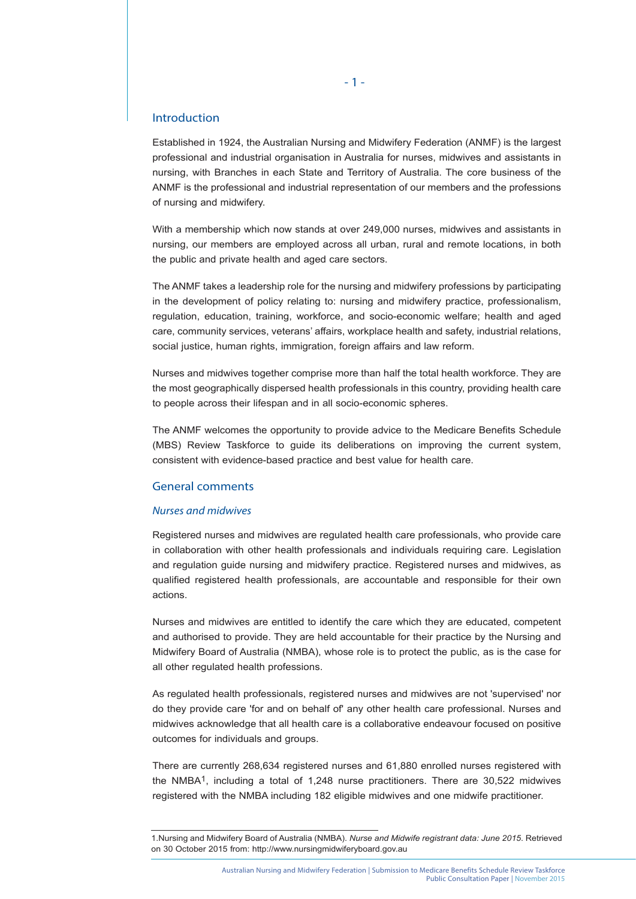## Introduction

Established in 1924, the Australian Nursing and Midwifery Federation (ANMF) is the largest professional and industrial organisation in Australia for nurses, midwives and assistants in nursing, with Branches in each State and Territory of Australia. The core business of the ANMF is the professional and industrial representation of our members and the professions of nursing and midwifery.

With a membership which now stands at over 249,000 nurses, midwives and assistants in nursing, our members are employed across all urban, rural and remote locations, in both the public and private health and aged care sectors.

The ANMF takes a leadership role for the nursing and midwifery professions by participating in the development of policy relating to: nursing and midwifery practice, professionalism, regulation, education, training, workforce, and socio-economic welfare; health and aged care, community services, veterans' affairs, workplace health and safety, industrial relations, social justice, human rights, immigration, foreign affairs and law reform.

Nurses and midwives together comprise more than half the total health workforce. They are the most geographically dispersed health professionals in this country, providing health care to people across their lifespan and in all socio-economic spheres.

The ANMF welcomes the opportunity to provide advice to the Medicare Benefits Schedule (MBS) Review Taskforce to guide its deliberations on improving the current system, consistent with evidence-based practice and best value for health care.

### General comments

#### *Nurses and midwives*

Registered nurses and midwives are regulated health care professionals, who provide care in collaboration with other health professionals and individuals requiring care. Legislation and regulation guide nursing and midwifery practice. Registered nurses and midwives, as qualified registered health professionals, are accountable and responsible for their own actions.

Nurses and midwives are entitled to identify the care which they are educated, competent and authorised to provide. They are held accountable for their practice by the Nursing and Midwifery Board of Australia (NMBA), whose role is to protect the public, as is the case for all other regulated health professions.

As regulated health professionals, registered nurses and midwives are not 'supervised' nor do they provide care 'for and on behalf of' any other health care professional. Nurses and midwives acknowledge that all health care is a collaborative endeavour focused on positive outcomes for individuals and groups.

There are currently 268,634 registered nurses and 61,880 enrolled nurses registered with the NMBA1, including a total of 1,248 nurse practitioners. There are 30,522 midwives registered with the NMBA including 182 eligible midwives and one midwife practitioner.

<sup>1.</sup>Nursing and Midwifery Board of Australia (NMBA). *Nurse and Midwife registrant data: June 2015*. Retrieved on 30 October 2015 from: http://www.nursingmidwiferyboard.gov.au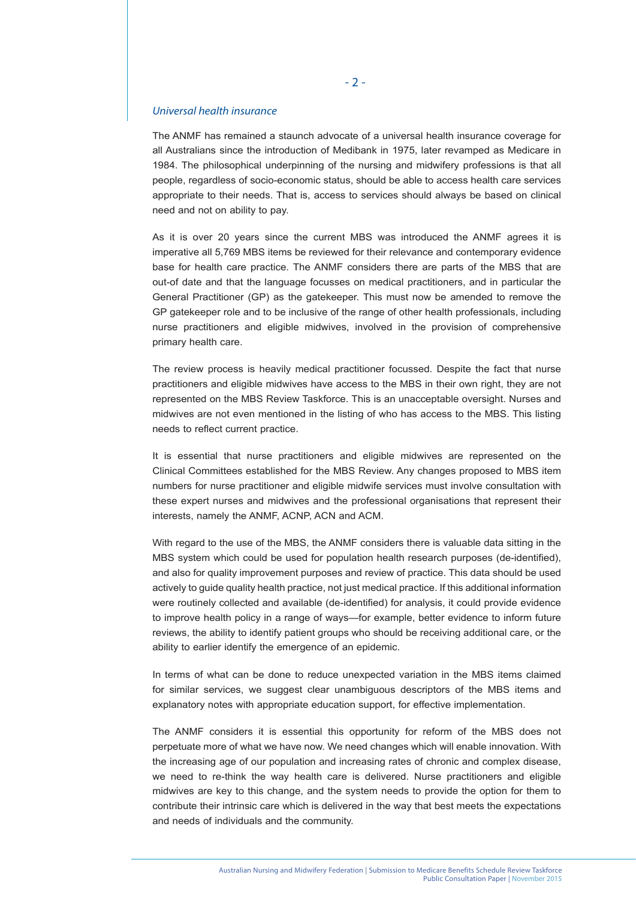## *Universal health insurance*

The ANMF has remained a staunch advocate of a universal health insurance coverage for all Australians since the introduction of Medibank in 1975, later revamped as Medicare in 1984. The philosophical underpinning of the nursing and midwifery professions is that all people, regardless of socio-economic status, should be able to access health care services appropriate to their needs. That is, access to services should always be based on clinical need and not on ability to pay.

As it is over 20 years since the current MBS was introduced the ANMF agrees it is imperative all 5,769 MBS items be reviewed for their relevance and contemporary evidence base for health care practice. The ANMF considers there are parts of the MBS that are out-of date and that the language focusses on medical practitioners, and in particular the General Practitioner (GP) as the gatekeeper. This must now be amended to remove the GP gatekeeper role and to be inclusive of the range of other health professionals, including nurse practitioners and eligible midwives, involved in the provision of comprehensive primary health care.

The review process is heavily medical practitioner focussed. Despite the fact that nurse practitioners and eligible midwives have access to the MBS in their own right, they are not represented on the MBS Review Taskforce. This is an unacceptable oversight. Nurses and midwives are not even mentioned in the listing of who has access to the MBS. This listing needs to reflect current practice.

It is essential that nurse practitioners and eligible midwives are represented on the Clinical Committees established for the MBS Review. Any changes proposed to MBS item numbers for nurse practitioner and eligible midwife services must involve consultation with these expert nurses and midwives and the professional organisations that represent their interests, namely the ANMF, ACNP, ACN and ACM.

With regard to the use of the MBS, the ANMF considers there is valuable data sitting in the MBS system which could be used for population health research purposes (de-identified), and also for quality improvement purposes and review of practice. This data should be used actively to guide quality health practice, not just medical practice. If this additional information were routinely collected and available (de-identified) for analysis, it could provide evidence to improve health policy in a range of ways—for example, better evidence to inform future reviews, the ability to identify patient groups who should be receiving additional care, or the ability to earlier identify the emergence of an epidemic.

In terms of what can be done to reduce unexpected variation in the MBS items claimed for similar services, we suggest clear unambiguous descriptors of the MBS items and explanatory notes with appropriate education support, for effective implementation.

The ANMF considers it is essential this opportunity for reform of the MBS does not perpetuate more of what we have now. We need changes which will enable innovation. With the increasing age of our population and increasing rates of chronic and complex disease, we need to re-think the way health care is delivered. Nurse practitioners and eligible midwives are key to this change, and the system needs to provide the option for them to contribute their intrinsic care which is delivered in the way that best meets the expectations and needs of individuals and the community.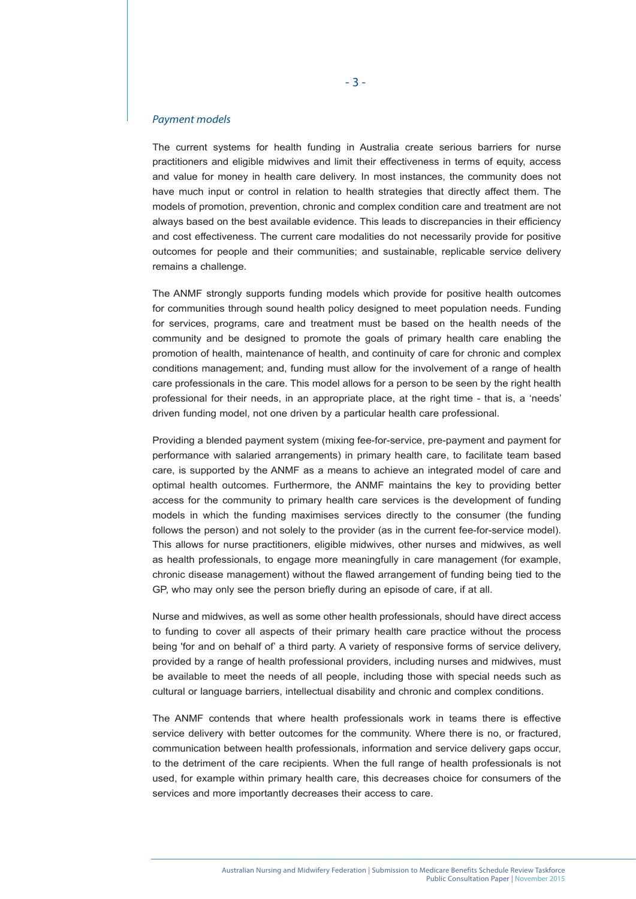#### *Payment models*

The current systems for health funding in Australia create serious barriers for nurse practitioners and eligible midwives and limit their effectiveness in terms of equity, access and value for money in health care delivery. In most instances, the community does not have much input or control in relation to health strategies that directly affect them. The models of promotion, prevention, chronic and complex condition care and treatment are not always based on the best available evidence. This leads to discrepancies in their efficiency and cost effectiveness. The current care modalities do not necessarily provide for positive outcomes for people and their communities; and sustainable, replicable service delivery remains a challenge.

The ANMF strongly supports funding models which provide for positive health outcomes for communities through sound health policy designed to meet population needs. Funding for services, programs, care and treatment must be based on the health needs of the community and be designed to promote the goals of primary health care enabling the promotion of health, maintenance of health, and continuity of care for chronic and complex conditions management; and, funding must allow for the involvement of a range of health care professionals in the care. This model allows for a person to be seen by the right health professional for their needs, in an appropriate place, at the right time - that is, a 'needs' driven funding model, not one driven by a particular health care professional.

Providing a blended payment system (mixing fee-for-service, pre-payment and payment for performance with salaried arrangements) in primary health care, to facilitate team based care, is supported by the ANMF as a means to achieve an integrated model of care and optimal health outcomes. Furthermore, the ANMF maintains the key to providing better access for the community to primary health care services is the development of funding models in which the funding maximises services directly to the consumer (the funding follows the person) and not solely to the provider (as in the current fee-for-service model). This allows for nurse practitioners, eligible midwives, other nurses and midwives, as well as health professionals, to engage more meaningfully in care management (for example, chronic disease management) without the flawed arrangement of funding being tied to the GP, who may only see the person briefly during an episode of care, if at all.

Nurse and midwives, as well as some other health professionals, should have direct access to funding to cover all aspects of their primary health care practice without the process being 'for and on behalf of' a third party. A variety of responsive forms of service delivery, provided by a range of health professional providers, including nurses and midwives, must be available to meet the needs of all people, including those with special needs such as cultural or language barriers, intellectual disability and chronic and complex conditions.

The ANMF contends that where health professionals work in teams there is effective service delivery with better outcomes for the community. Where there is no, or fractured, communication between health professionals, information and service delivery gaps occur, to the detriment of the care recipients. When the full range of health professionals is not used, for example within primary health care, this decreases choice for consumers of the services and more importantly decreases their access to care.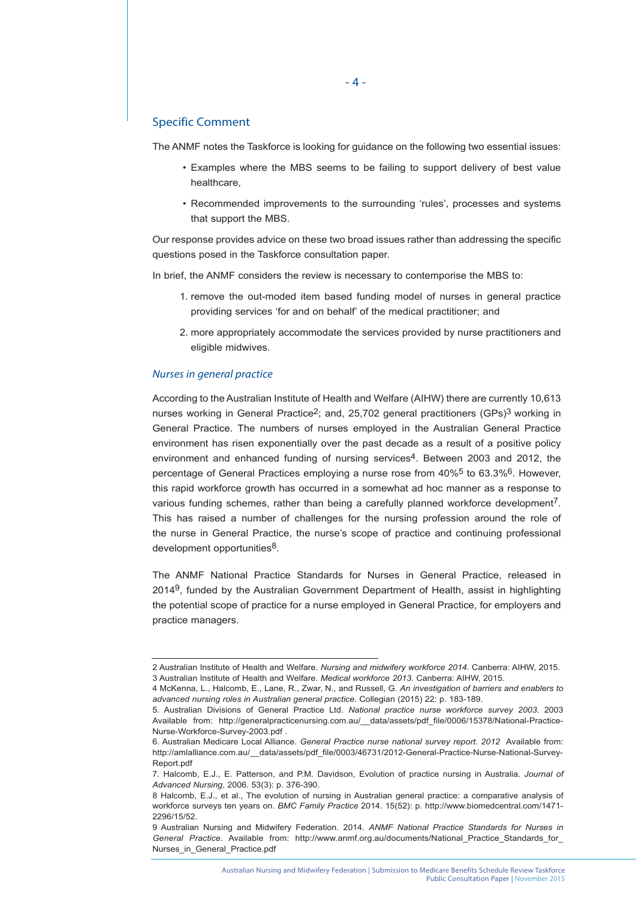# Specific Comment

The ANMF notes the Taskforce is looking for guidance on the following two essential issues:

- Examples where the MBS seems to be failing to support delivery of best value healthcare,
- Recommended improvements to the surrounding 'rules', processes and systems that support the MBS.

Our response provides advice on these two broad issues rather than addressing the specific questions posed in the Taskforce consultation paper.

In brief, the ANMF considers the review is necessary to contemporise the MBS to:

- 1. remove the out-moded item based funding model of nurses in general practice providing services 'for and on behalf' of the medical practitioner; and
- 2. more appropriately accommodate the services provided by nurse practitioners and eligible midwives.

#### *Nurses in general practice*

According to the Australian Institute of Health and Welfare (AIHW) there are currently 10,613 nurses working in General Practice<sup>2</sup>; and, 25,702 general practitioners (GPs)<sup>3</sup> working in General Practice. The numbers of nurses employed in the Australian General Practice environment has risen exponentially over the past decade as a result of a positive policy environment and enhanced funding of nursing services<sup>4</sup>. Between 2003 and 2012, the percentage of General Practices employing a nurse rose from 40%5 to 63.3%6. However, this rapid workforce growth has occurred in a somewhat ad hoc manner as a response to various funding schemes, rather than being a carefully planned workforce development7. This has raised a number of challenges for the nursing profession around the role of the nurse in General Practice, the nurse's scope of practice and continuing professional development opportunities<sup>8</sup>.

The ANMF National Practice Standards for Nurses in General Practice, released in  $2014<sup>9</sup>$ , funded by the Australian Government Department of Health, assist in highlighting the potential scope of practice for a nurse employed in General Practice, for employers and practice managers.

<sup>2</sup> Australian Institute of Health and Welfare. *Nursing and midwifery workforce 2014*. Canberra: AIHW, 2015. 3 Australian Institute of Health and Welfare. *Medical workforce 2013*. Canberra: AIHW, 2015.

<sup>4</sup> McKenna, L., Halcomb, E., Lane, R., Zwar, N., and Russell, G. *An investigation of barriers and enablers to advanced nursing roles in Australian general practice.* Collegian (2015) 22: p. 183-189.

<sup>5.</sup> Australian Divisions of General Practice Ltd. *National practice nurse workforce survey 2003*. 2003 Available from: http://generalpracticenursing.com.au/\_\_data/assets/pdf\_file/0006/15378/National-Practice-Nurse-Workforce-Survey-2003.pdf .

<sup>6.</sup> Australian Medicare Local Alliance. *General Practice nurse national survey report. 2012* Available from: http://amlalliance.com.au/\_\_data/assets/pdf\_file/0003/46731/2012-General-Practice-Nurse-National-Survey-Report.pdf

<sup>7.</sup> Halcomb, E.J., E. Patterson, and P.M. Davidson, Evolution of practice nursing in Australia. *Journal of Advanced Nursing*, 2006. 53(3): p. 376-390.

<sup>8</sup> Halcomb, E.J., et al., The evolution of nursing in Australian general practice: a comparative analysis of workforce surveys ten years on. *BMC Family Practice* 2014. 15(52): p. http://www.biomedcentral.com/1471- 2296/15/52.

<sup>9</sup> Australian Nursing and Midwifery Federation. 2014. *ANMF National Practice Standards for Nurses in General Practice*. Available from: http://www.anmf.org.au/documents/National\_Practice\_Standards\_for\_ Nurses\_in\_General\_Practice.pdf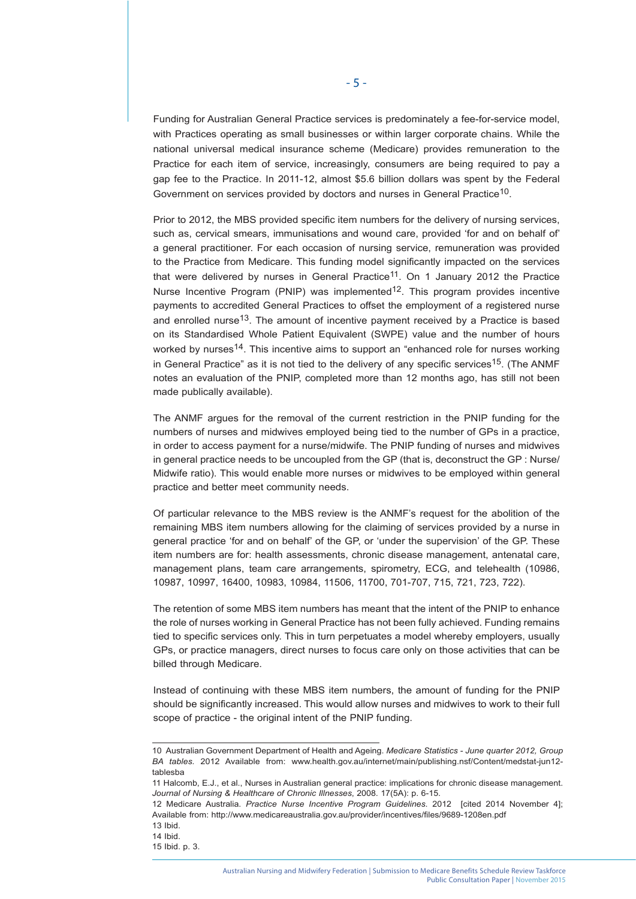Funding for Australian General Practice services is predominately a fee-for-service model, with Practices operating as small businesses or within larger corporate chains. While the national universal medical insurance scheme (Medicare) provides remuneration to the Practice for each item of service, increasingly, consumers are being required to pay a gap fee to the Practice. In 2011-12, almost \$5.6 billion dollars was spent by the Federal Government on services provided by doctors and nurses in General Practice10.

Prior to 2012, the MBS provided specific item numbers for the delivery of nursing services, such as, cervical smears, immunisations and wound care, provided 'for and on behalf of' a general practitioner. For each occasion of nursing service, remuneration was provided to the Practice from Medicare. This funding model significantly impacted on the services that were delivered by nurses in General Practice<sup>11</sup>. On 1 January 2012 the Practice Nurse Incentive Program (PNIP) was implemented<sup>12</sup>. This program provides incentive payments to accredited General Practices to offset the employment of a registered nurse and enrolled nurse<sup>13</sup>. The amount of incentive payment received by a Practice is based on its Standardised Whole Patient Equivalent (SWPE) value and the number of hours worked by nurses<sup>14</sup>. This incentive aims to support an "enhanced role for nurses working in General Practice" as it is not tied to the delivery of any specific services<sup>15</sup>. (The ANMF notes an evaluation of the PNIP, completed more than 12 months ago, has still not been made publically available).

The ANMF argues for the removal of the current restriction in the PNIP funding for the numbers of nurses and midwives employed being tied to the number of GPs in a practice, in order to access payment for a nurse/midwife. The PNIP funding of nurses and midwives in general practice needs to be uncoupled from the GP (that is, deconstruct the GP : Nurse/ Midwife ratio). This would enable more nurses or midwives to be employed within general practice and better meet community needs.

Of particular relevance to the MBS review is the ANMF's request for the abolition of the remaining MBS item numbers allowing for the claiming of services provided by a nurse in general practice 'for and on behalf' of the GP, or 'under the supervision' of the GP. These item numbers are for: health assessments, chronic disease management, antenatal care, management plans, team care arrangements, spirometry, ECG, and telehealth (10986, 10987, 10997, 16400, 10983, 10984, 11506, 11700, 701-707, 715, 721, 723, 722).

The retention of some MBS item numbers has meant that the intent of the PNIP to enhance the role of nurses working in General Practice has not been fully achieved. Funding remains tied to specific services only. This in turn perpetuates a model whereby employers, usually GPs, or practice managers, direct nurses to focus care only on those activities that can be billed through Medicare.

Instead of continuing with these MBS item numbers, the amount of funding for the PNIP should be significantly increased. This would allow nurses and midwives to work to their full scope of practice - the original intent of the PNIP funding.

<sup>10</sup> Australian Government Department of Health and Ageing. *Medicare Statistics - June quarter 2012, Group BA tables.* 2012 Available from: www.health.gov.au/internet/main/publishing.nsf/Content/medstat-jun12 tablesba

<sup>11</sup> Halcomb, E.J., et al., Nurses in Australian general practice: implications for chronic disease management. *Journal of Nursing & Healthcare of Chronic Illnesses*, 2008. 17(5A): p. 6-15.

<sup>12</sup> Medicare Australia. *Practice Nurse Incentive Program Guidelines*. 2012 [cited 2014 November 4]; Available from: http://www.medicareaustralia.gov.au/provider/incentives/files/9689-1208en.pdf

<sup>13</sup> Ibid.

<sup>14</sup> Ibid.

<sup>15</sup> Ibid. p. 3.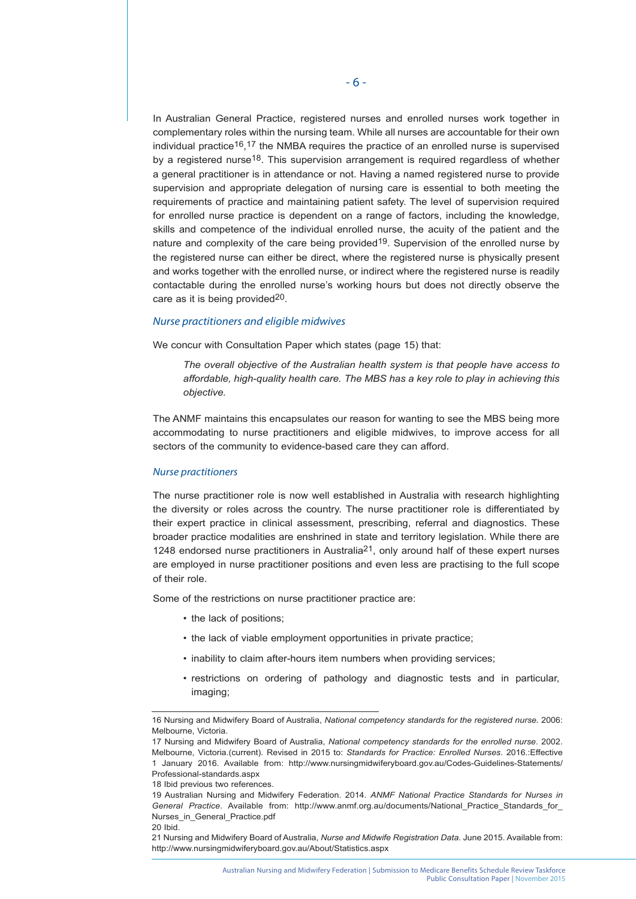In Australian General Practice, registered nurses and enrolled nurses work together in complementary roles within the nursing team. While all nurses are accountable for their own individual practice<sup>16</sup>,<sup>17</sup> the NMBA requires the practice of an enrolled nurse is supervised by a registered nurse<sup>18</sup>. This supervision arrangement is required regardless of whether a general practitioner is in attendance or not. Having a named registered nurse to provide supervision and appropriate delegation of nursing care is essential to both meeting the requirements of practice and maintaining patient safety. The level of supervision required for enrolled nurse practice is dependent on a range of factors, including the knowledge, skills and competence of the individual enrolled nurse, the acuity of the patient and the nature and complexity of the care being provided<sup>19</sup>. Supervision of the enrolled nurse by the registered nurse can either be direct, where the registered nurse is physically present and works together with the enrolled nurse, or indirect where the registered nurse is readily contactable during the enrolled nurse's working hours but does not directly observe the care as it is being provided<sup>20</sup>.

## *Nurse practitioners and eligible midwives*

We concur with Consultation Paper which states (page 15) that:

*The overall objective of the Australian health system is that people have access to affordable, high-quality health care. The MBS has a key role to play in achieving this objective.*

The ANMF maintains this encapsulates our reason for wanting to see the MBS being more accommodating to nurse practitioners and eligible midwives, to improve access for all sectors of the community to evidence-based care they can afford.

#### *Nurse practitioners*

The nurse practitioner role is now well established in Australia with research highlighting the diversity or roles across the country. The nurse practitioner role is differentiated by their expert practice in clinical assessment, prescribing, referral and diagnostics. These broader practice modalities are enshrined in state and territory legislation. While there are 1248 endorsed nurse practitioners in Australia<sup>21</sup>, only around half of these expert nurses are employed in nurse practitioner positions and even less are practising to the full scope of their role.

Some of the restrictions on nurse practitioner practice are:

- the lack of positions;
- the lack of viable employment opportunities in private practice;
- inability to claim after-hours item numbers when providing services;
- restrictions on ordering of pathology and diagnostic tests and in particular, imaging;

<sup>16</sup> Nursing and Midwifery Board of Australia, *National competency standards for the registered nurse.* 2006: Melbourne, Victoria.

<sup>17</sup> Nursing and Midwifery Board of Australia, *National competency standards for the enrolled nurse*. 2002. Melbourne, Victoria.(current). Revised in 2015 to: *Standards for Practice: Enrolled Nurses*. 2016.:Effective 1 January 2016. Available from: http://www.nursingmidwiferyboard.gov.au/Codes-Guidelines-Statements/ Professional-standards.aspx

<sup>18</sup> Ibid previous two references.

<sup>19</sup> Australian Nursing and Midwifery Federation. 2014. *ANMF National Practice Standards for Nurses in*  General Practice. Available from: http://www.anmf.org.au/documents/National Practice Standards for Nurses\_in\_General\_Practice.pdf

<sup>20</sup> Ibid.

<sup>21</sup> Nursing and Midwifery Board of Australia, *Nurse and Midwife Registration Data*. June 2015. Available from: http://www.nursingmidwiferyboard.gov.au/About/Statistics.aspx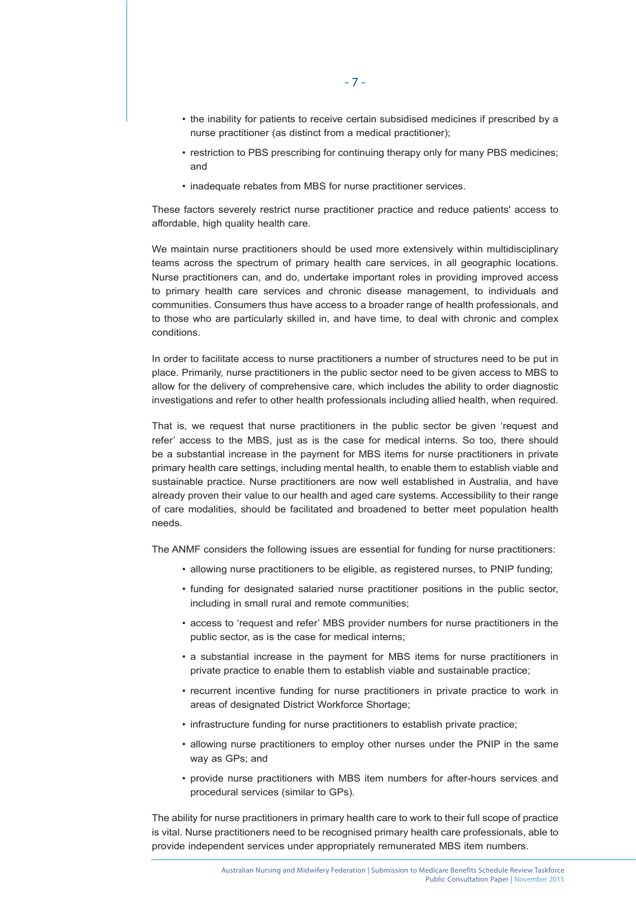- the inability for patients to receive certain subsidised medicines if prescribed by a nurse practitioner (as distinct from a medical practitioner);
- restriction to PBS prescribing for continuing therapy only for many PBS medicines; and
- inadequate rebates from MBS for nurse practitioner services.

These factors severely restrict nurse practitioner practice and reduce patients' access to affordable, high quality health care.

We maintain nurse practitioners should be used more extensively within multidisciplinary teams across the spectrum of primary health care services, in all geographic locations. Nurse practitioners can, and do, undertake important roles in providing improved access to primary health care services and chronic disease management, to individuals and communities. Consumers thus have access to a broader range of health professionals, and to those who are particularly skilled in, and have time, to deal with chronic and complex conditions.

In order to facilitate access to nurse practitioners a number of structures need to be put in place. Primarily, nurse practitioners in the public sector need to be given access to MBS to allow for the delivery of comprehensive care, which includes the ability to order diagnostic investigations and refer to other health professionals including allied health, when required.

That is, we request that nurse practitioners in the public sector be given 'request and refer' access to the MBS, just as is the case for medical interns. So too, there should be a substantial increase in the payment for MBS items for nurse practitioners in private primary health care settings, including mental health, to enable them to establish viable and sustainable practice. Nurse practitioners are now well established in Australia, and have already proven their value to our health and aged care systems. Accessibility to their range of care modalities, should be facilitated and broadened to better meet population health needs.

The ANMF considers the following issues are essential for funding for nurse practitioners:

- allowing nurse practitioners to be eligible, as registered nurses, to PNIP funding;
- funding for designated salaried nurse practitioner positions in the public sector, including in small rural and remote communities;
- access to 'request and refer' MBS provider numbers for nurse practitioners in the public sector, as is the case for medical interns;
- a substantial increase in the payment for MBS items for nurse practitioners in private practice to enable them to establish viable and sustainable practice;
- recurrent incentive funding for nurse practitioners in private practice to work in areas of designated District Workforce Shortage;
- infrastructure funding for nurse practitioners to establish private practice;
- allowing nurse practitioners to employ other nurses under the PNIP in the same way as GPs; and
- provide nurse practitioners with MBS item numbers for after-hours services and procedural services (similar to GPs).

The ability for nurse practitioners in primary health care to work to their full scope of practice is vital. Nurse practitioners need to be recognised primary health care professionals, able to provide independent services under appropriately remunerated MBS item numbers.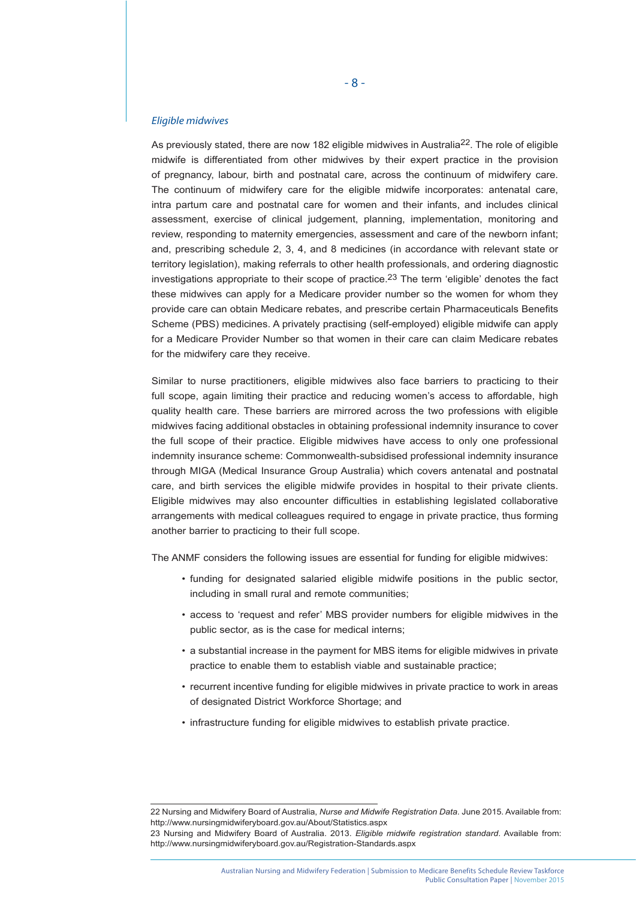#### *Eligible midwives*

As previously stated, there are now 182 eligible midwives in Australia22. The role of eligible midwife is differentiated from other midwives by their expert practice in the provision of pregnancy, labour, birth and postnatal care, across the continuum of midwifery care. The continuum of midwifery care for the eligible midwife incorporates: antenatal care, intra partum care and postnatal care for women and their infants, and includes clinical assessment, exercise of clinical judgement, planning, implementation, monitoring and review, responding to maternity emergencies, assessment and care of the newborn infant; and, prescribing schedule 2, 3, 4, and 8 medicines (in accordance with relevant state or territory legislation), making referrals to other health professionals, and ordering diagnostic investigations appropriate to their scope of practice.<sup>23</sup> The term 'eligible' denotes the fact these midwives can apply for a Medicare provider number so the women for whom they provide care can obtain Medicare rebates, and prescribe certain Pharmaceuticals Benefits Scheme (PBS) medicines. A privately practising (self-employed) eligible midwife can apply for a Medicare Provider Number so that women in their care can claim Medicare rebates for the midwifery care they receive.

Similar to nurse practitioners, eligible midwives also face barriers to practicing to their full scope, again limiting their practice and reducing women's access to affordable, high quality health care. These barriers are mirrored across the two professions with eligible midwives facing additional obstacles in obtaining professional indemnity insurance to cover the full scope of their practice. Eligible midwives have access to only one professional indemnity insurance scheme: Commonwealth-subsidised professional indemnity insurance through MIGA (Medical Insurance Group Australia) which covers antenatal and postnatal care, and birth services the eligible midwife provides in hospital to their private clients. Eligible midwives may also encounter difficulties in establishing legislated collaborative arrangements with medical colleagues required to engage in private practice, thus forming another barrier to practicing to their full scope.

The ANMF considers the following issues are essential for funding for eligible midwives:

- funding for designated salaried eligible midwife positions in the public sector, including in small rural and remote communities;
- access to 'request and refer' MBS provider numbers for eligible midwives in the public sector, as is the case for medical interns;
- a substantial increase in the payment for MBS items for eligible midwives in private practice to enable them to establish viable and sustainable practice;
- recurrent incentive funding for eligible midwives in private practice to work in areas of designated District Workforce Shortage; and
- infrastructure funding for eligible midwives to establish private practice.

<sup>22</sup> Nursing and Midwifery Board of Australia, *Nurse and Midwife Registration Data*. June 2015. Available from: http://www.nursingmidwiferyboard.gov.au/About/Statistics.aspx

<sup>23</sup> Nursing and Midwifery Board of Australia. 2013. *Eligible midwife registration standard*. Available from: http://www.nursingmidwiferyboard.gov.au/Registration-Standards.aspx